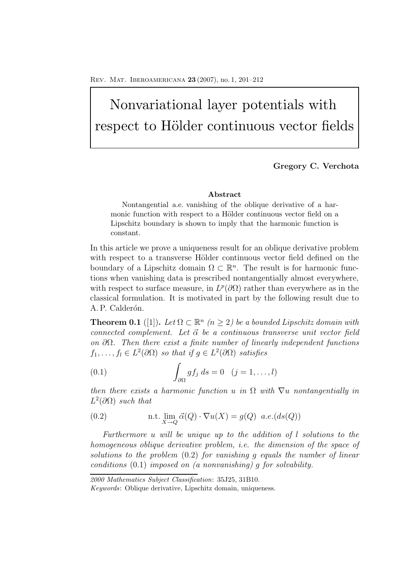# Nonvariational layer potentials with respect to Hölder continuous vector fields

## **Gregory C. Verchota**

### **Abstract**

Nontangential a.e. vanishing of the oblique derivative of a harmonic function with respect to a Hölder continuous vector field on a Lipschitz boundary is shown to imply that the harmonic function is constant.

In this article we prove a uniqueness result for an oblique derivative problem with respect to a transverse Hölder continuous vector field defined on the boundary of a Lipschitz domain  $\Omega \subset \mathbb{R}^n$ . The result is for harmonic functions when vanishing data is prescribed nontangentially almost everywhere, with respect to surface measure, in  $L^p(\partial\Omega)$  rather than everywhere as in the classical formulation. It is motivated in part by the following result due to A. P. Calderón.

**Theorem 0.1** ([1]). Let  $\Omega \subset \mathbb{R}^n$  ( $n \geq 2$ ) be a bounded Lipschitz domain with *connected complement. Let*  $\vec{\alpha}$  *be a continuous transverse unit vector field on* ∂Ω*. Then there exist a finite number of linearly independent functions*  $f_1, \ldots, f_l \in L^2(\partial \Omega)$  *so that if*  $g \in L^2(\partial \Omega)$  *satisfies* 

(0.1) 
$$
\int_{\partial\Omega} gf_j ds = 0 \quad (j = 1, \dots, l)
$$

*then there exists a harmonic function* u *in*  $\Omega$  *with*  $\nabla u$  *nontangentially in*  $L^2(\partial\Omega)$  *such that* 

(0.2) n.t. 
$$
\lim_{X \to Q} \vec{\alpha}(Q) \cdot \nabla u(X) = g(Q)
$$
 a.e.(ds(Q))

*Furthermore* u *will be unique up to the addition of* l *solutions to the homogeneous oblique derivative problem, i.e. the dimension of the space of solutions to the problem* (0.2) *for vanishing* g *equals the number of linear conditions* (0.1) *imposed on (a nonvanishing)* g *for solvability.*

*<sup>2000</sup> Mathematics Subject Classification*: 35J25, 31B10.

*Keywords*: Oblique derivative, Lipschitz domain, uniqueness.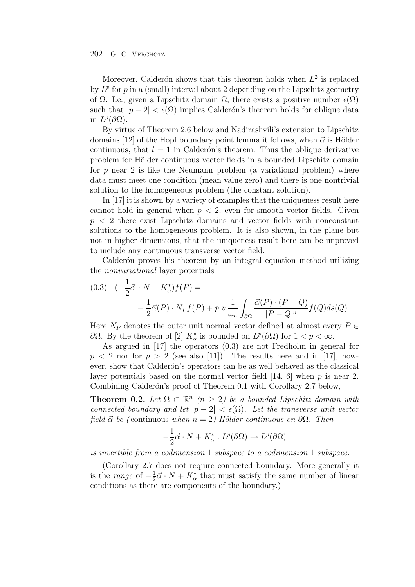#### 202 G. C. Verchota

Moreover, Calderón shows that this theorem holds when  $L^2$  is replaced by  $L^p$  for p in a (small) interval about 2 depending on the Lipschitz geometry of  $\Omega$ . I.e., given a Lipschitz domain  $\Omega$ , there exists a positive number  $\epsilon(\Omega)$ such that  $|p-2| < \epsilon(\Omega)$  implies Calderón's theorem holds for oblique data in  $L^p(\partial\Omega)$ .

By virtue of Theorem 2.6 below and Nadirashvili's extension to Lipschitz domains [12] of the Hopf boundary point lemma it follows, when  $\vec{\alpha}$  is Hölder continuous, that  $l = 1$  in Calderón's theorem. Thus the oblique derivative problem for Hölder continuous vector fields in a bounded Lipschitz domain for  $p$  near 2 is like the Neumann problem (a variational problem) where data must meet one condition (mean value zero) and there is one nontrivial solution to the homogeneous problem (the constant solution).

In [17] it is shown by a variety of examples that the uniqueness result here cannot hold in general when  $p < 2$ , even for smooth vector fields. Given  $p < 2$  there exist Lipschitz domains and vector fields with nonconstant solutions to the homogeneous problem. It is also shown, in the plane but not in higher dimensions, that the uniqueness result here can be improved to include any continuous transverse vector field.

Calderón proves his theorem by an integral equation method utilizing the *nonvariational* layer potentials

$$
(0.3) \quad (-\frac{1}{2}\vec{\alpha} \cdot N + K_{\alpha}^*)f(P) =
$$
  

$$
-\frac{1}{2}\vec{\alpha}(P) \cdot N_P f(P) + p.v.\frac{1}{\omega_n} \int_{\partial\Omega} \frac{\vec{\alpha}(P) \cdot (P - Q)}{|P - Q|^n} f(Q) ds(Q) .
$$

Here  $N_P$  denotes the outer unit normal vector defined at almost every  $P \in$ ∂Ω. By the theorem of [2]  $K^*_{\alpha}$  is bounded on  $L^p(∂Ω)$  for  $1 < p < ∞$ .

As argued in [17] the operators (0.3) are not Fredholm in general for  $p < 2$  nor for  $p > 2$  (see also [11]). The results here and in [17], however, show that Calderón's operators can be as well behaved as the classical layer potentials based on the normal vector field [14, 6] when  $p$  is near 2. Combining Calderón's proof of Theorem 0.1 with Corollary 2.7 below,

**Theorem 0.2.** *Let*  $\Omega \subset \mathbb{R}^n$   $(n \geq 2)$  *be a bounded Lipschitz domain with connected boundary and let*  $|p-2| < \epsilon(\Omega)$ *. Let the transverse unit vector field*  $\vec{\alpha}$  *be* (continuous *when* n = 2) Hölder continuous on ∂Ω. Then

$$
-\frac{1}{2}\vec{\alpha} \cdot N + K_{\alpha}^* : L^p(\partial \Omega) \to L^p(\partial \Omega)
$$

*is invertible from a codimension* 1 *subspace to a codimension* 1 *subspace.*

(Corollary 2.7 does not require connected boundary. More generally it is the *range* of  $-\frac{1}{2}\vec{\alpha} \cdot N + K^*_{\alpha}$  that must satisfy the same number of linear conditions as there are components of the boundary.)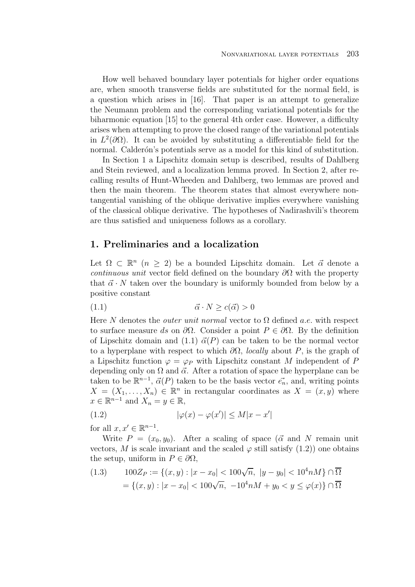How well behaved boundary layer potentials for higher order equations are, when smooth transverse fields are substituted for the normal field, is a question which arises in [16]. That paper is an attempt to generalize the Neumann problem and the corresponding variational potentials for the biharmonic equation [15] to the general 4th order case. However, a difficulty arises when attempting to prove the closed range of the variational potentials in  $L^2(\partial\Omega)$ . It can be avoided by substituting a differentiable field for the normal. Calderón's potentials serve as a model for this kind of substitution.

In Section 1 a Lipschitz domain setup is described, results of Dahlberg and Stein reviewed, and a localization lemma proved. In Section 2, after recalling results of Hunt-Wheeden and Dahlberg, two lemmas are proved and then the main theorem. The theorem states that almost everywhere nontangential vanishing of the oblique derivative implies everywhere vanishing of the classical oblique derivative. The hypotheses of Nadirashvili's theorem are thus satisfied and uniqueness follows as a corollary.

## **1. Preliminaries and a localization**

Let  $\Omega \subset \mathbb{R}^n$   $(n \geq 2)$  be a bounded Lipschitz domain. Let  $\vec{\alpha}$  denote a *continuous unit* vector field defined on the boundary  $\partial\Omega$  with the property that  $\vec{\alpha} \cdot N$  taken over the boundary is uniformly bounded from below by a positive constant

$$
(1.1) \qquad \qquad \vec{\alpha} \cdot N \ge c(\vec{\alpha}) > 0
$$

Here N denotes the *outer unit normal* vector to  $\Omega$  defined *a.e.* with respect to surface measure ds on  $\partial\Omega$ . Consider a point  $P \in \partial\Omega$ . By the definition of Lipschitz domain and  $(1.1)$   $\vec{\alpha}(P)$  can be taken to be the normal vector to a hyperplane with respect to which ∂Ω, *locally* about P, is the graph of a Lipschitz function  $\varphi = \varphi_P$  with Lipschitz constant M independent of P depending only on  $\Omega$  and  $\vec{\alpha}$ . After a rotation of space the hyperplane can be taken to be  $\mathbb{R}^{n-1}$ ,  $\vec{\alpha}(P)$  taken to be the basis vector  $\vec{e_n}$ , and, writing points  $X = (X_1, \ldots, X_n) \in \mathbb{R}^n$  in rectangular coordinates as  $X = (x, y)$  where  $x \in \mathbb{R}^{n-1}$  and  $X_n = y \in \mathbb{R}$ ,

(1.2) 
$$
|\varphi(x) - \varphi(x')| \le M|x - x'|
$$

for all  $x, x' \in \mathbb{R}^{n-1}$ .

Write  $P = (x_0, y_0)$ . After a scaling of space ( $\vec{\alpha}$  and N remain unit vectors, M is scale invariant and the scaled  $\varphi$  still satisfy  $(1.2)$  one obtains the setup, uniform in  $P \in \partial \Omega$ ,

$$
(1.3) \qquad 100Z_P := \{(x, y) : |x - x_0| < 100\sqrt{n}, \ |y - y_0| < 10^4 nM\} \cap \overline{\Omega}
$$
\n
$$
= \{(x, y) : |x - x_0| < 100\sqrt{n}, \ -10^4 nM + y_0 < y \le \varphi(x)\} \cap \overline{\Omega}
$$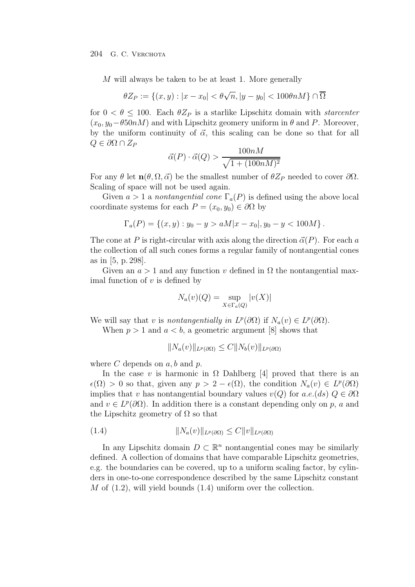M will always be taken to be at least 1. More generally

$$
\theta Z_P := \{(x, y) : |x - x_0| < \theta \sqrt{n}, |y - y_0| < 100 \theta n M\} \cap \overline{\Omega}
$$

for  $0 < \theta < 100$ . Each  $\theta Z_P$  is a starlike Lipschitz domain with *starcenter*  $(x_0, y_0 - \theta 50n)$  and with Lipschitz geomery uniform in  $\theta$  and P. Moreover, by the uniform continuity of  $\vec{\alpha}$ , this scaling can be done so that for all  $Q \in \partial \Omega \cap Z_P$ 

$$
\vec{\alpha}(P) \cdot \vec{\alpha}(Q) > \frac{100nM}{\sqrt{1 + (100nM)^2}}
$$

For any  $\theta$  let  $\mathbf{n}(\theta, \Omega, \vec{\alpha})$  be the smallest number of  $\theta Z_P$  needed to cover  $\partial\Omega$ . Scaling of space will not be used again.

Given  $a > 1$  a *nontangential cone*  $\Gamma_a(P)$  is defined using the above local coordinate systems for each  $P = (x_0, y_0) \in \partial \Omega$  by

$$
\Gamma_a(P) = \{(x, y) : y_0 - y > aM|x - x_0|, y_0 - y < 100M\}.
$$

The cone at P is right-circular with axis along the direction  $\vec{\alpha}(P)$ . For each a the collection of all such cones forms a regular family of nontangential cones as in [5, p. 298].

Given an  $a > 1$  and any function v defined in  $\Omega$  the nontangential maximal function of  $v$  is defined by

$$
N_a(v)(Q) = \sup_{X \in \Gamma_a(Q)} |v(X)|
$$

We will say that v is *nontangentially in*  $L^p(\partial\Omega)$  if  $N_a(v) \in L^p(\partial\Omega)$ .

When  $p > 1$  and  $a < b$ , a geometric argument [8] shows that

 $||N_a(v)||_{L^p(\partial\Omega)} \leq C||N_b(v)||_{L^p(\partial\Omega)}$ 

where  $C$  depends on  $a, b$  and  $p$ .

In the case v is harmonic in  $\Omega$  Dahlberg [4] proved that there is an  $\epsilon(\Omega) > 0$  so that, given any  $p > 2 - \epsilon(\Omega)$ , the condition  $N_a(v) \in L^p(\partial\Omega)$ implies that v has nontangential boundary values  $v(Q)$  for  $a.e.(ds)$   $Q \in \partial \Omega$ and  $v \in L^p(\partial\Omega)$ . In addition there is a constant depending only on p, a and the Lipschitz geometry of  $\Omega$  so that

$$
(1.4) \t\t\t\t ||N_a(v)||_{L^p(\partial\Omega)} \leq C||v||_{L^p(\partial\Omega)}
$$

In any Lipschitz domain  $D \subset \mathbb{R}^n$  nontangential cones may be similarly defined. A collection of domains that have comparable Lipschitz geometries, e.g. the boundaries can be covered, up to a uniform scaling factor, by cylinders in one-to-one correspondence described by the same Lipschitz constant  $M$  of  $(1.2)$ , will yield bounds  $(1.4)$  uniform over the collection.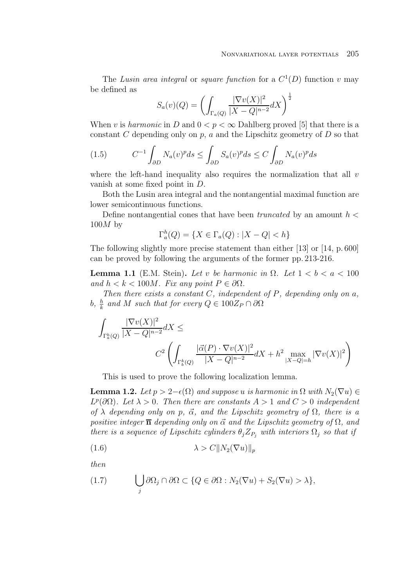The *Lusin area integral* or *square function* for a  $C^1(D)$  function v may be defined as

$$
S_a(v)(Q) = \left(\int_{\Gamma_a(Q)} \frac{|\nabla v(X)|^2}{|X - Q|^{n-2}} dX\right)^{\frac{1}{2}}
$$

When v is *harmonic* in D and  $0 < p < \infty$  Dahlberg proved [5] that there is a constant  $C$  depending only on  $p$ ,  $a$  and the Lipschitz geometry of  $D$  so that

$$
(1.5) \tC-1 \int_{\partial D} N_a(v)^p ds \le \int_{\partial D} S_a(v)^p ds \le C \int_{\partial D} N_a(v)^p ds
$$

where the left-hand inequality also requires the normalization that all  $v$ vanish at some fixed point in D.

Both the Lusin area integral and the nontangential maximal function are lower semicontinuous functions.

Define nontangential cones that have been *truncated* by an amount h <  $100M$  by

$$
\Gamma_a^h(Q) = \{ X \in \Gamma_a(Q) : |X - Q| < h \}
$$

The following slightly more precise statement than either [13] or [14, p. 600] can be proved by following the arguments of the former pp. 213-216.

**Lemma 1.1** (E.M. Stein). Let v be harmonic in  $\Omega$ . Let  $1 < b < a < 100$ *and*  $h < k < 100M$ *. Fix any point*  $P \in \partial \Omega$ *.* 

*Then there exists a constant* C*, independent of* P*, depending only on* a*,* b,  $\frac{h}{k}$  and M such that for every  $Q \in 100Z_P \cap \partial\Omega$ 

$$
\int_{\Gamma_a^h(Q)} \frac{|\nabla v(X)|^2}{|X - Q|^{n-2}} dX \le
$$
\n
$$
C^2 \left( \int_{\Gamma_b^k(Q)} \frac{|\vec{\alpha}(P) \cdot \nabla v(X)|^2}{|X - Q|^{n-2}} dX + h^2 \max_{|X - Q| = h} |\nabla v(X)|^2 \right)
$$

This is used to prove the following localization lemma.

**Lemma 1.2.** *Let*  $p > 2-\epsilon(\Omega)$  *and suppose* u *is harmonic in*  $\Omega$  *with*  $N_2(\nabla u) \in$  $L^p(\partial\Omega)$ *. Let*  $\lambda > 0$ *. Then there are constants*  $A > 1$  *and*  $C > 0$  *independent of*  $\lambda$  *depending only on* p,  $\vec{\alpha}$ , and the Lipschitz geometry of  $\Omega$ , there is a  $positive$  *integer*  $\overline{n}$  *depending only on*  $\vec{\alpha}$  *and the Lipschitz geometry of*  $\Omega$ *, and there is a sequence of Lipschitz cylinders*  $\theta_i Z_{P_i}$  *with interiors*  $\Omega_i$  *so that if* 

$$
(1.6)\qquad \qquad \lambda > C \|N_2(\nabla u)\|_p
$$

*then*

(1.7) 
$$
\bigcup_j \partial \Omega_j \cap \partial \Omega \subset \{Q \in \partial \Omega : N_2(\nabla u) + S_2(\nabla u) > \lambda\},\
$$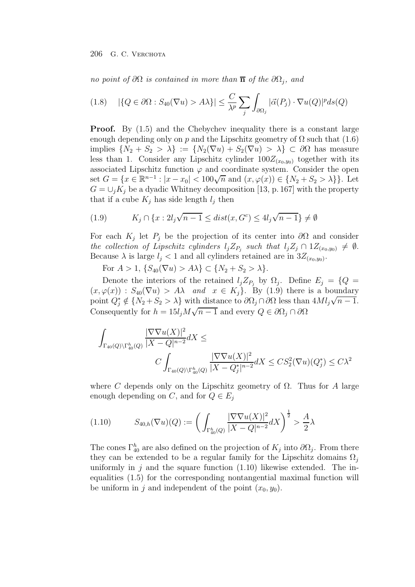*no point of*  $\partial\Omega$  *is contained in more than*  $\overline{\mathbf{n}}$  *of the*  $\partial\Omega_i$ *, and* 

$$
(1.8) \quad |\{Q \in \partial\Omega : S_{40}(\nabla u) > A\lambda\}| \le \frac{C}{\lambda^p} \sum_j \int_{\partial\Omega_j} |\vec{\alpha}(P_j) \cdot \nabla u(Q)|^p ds(Q)
$$

**Proof.** By  $(1.5)$  and the Chebychev inequality there is a constant large enough depending only on p and the Lipschitz geometry of  $\Omega$  such that (1.6) implies  $\{N_2 + S_2 > \lambda\} := \{N_2(\nabla u) + S_2(\nabla u) > \lambda\} \subset \partial\Omega$  has measure less than 1. Consider any Lipschitz cylinder  $100Z_{(x_0,y_0)}$  together with its associated Lipschitz function  $\varphi$  and coordinate system. Consider the open set  $G = \{x \in \mathbb{R}^{n-1} : |x - x_0| < 100\sqrt{n} \text{ and } (x, \varphi(x)) \in \{N_2 + S_2 > \lambda\}\}\.$  Let  $G = \bigcup_j K_j$  be a dyadic Whitney decomposition [13, p. 167] with the property that if a cube  $K_j$  has side length  $l_j$  then

(1.9) 
$$
K_j \cap \{x: 2l_j\sqrt{n-1} \leq dist(x, G^c) \leq 4l_j\sqrt{n-1}\} \neq \emptyset
$$

For each  $K_j$  let  $P_j$  be the projection of its center into  $\partial\Omega$  and consider *the collection of Lipschitz cylinders*  $l_j Z_{P_j}$  *such that*  $l_j Z_j \cap 1 Z_{(x_0,y_0)} \neq \emptyset$ . Because  $\lambda$  is large  $l_i < 1$  and all cylinders retained are in  $3Z_{(x_0,y_0)}$ .

For  $A > 1$ ,  $\{S_{40}(\nabla u) > A\lambda\} \subset \{N_2 + S_2 > \lambda\}.$ 

Denote the interiors of the retained  $l_i Z_{P_i}$  by  $\Omega_i$ . Define  $E_i = \{Q =$  $(x, \varphi(x)) : S_{40}(\nabla u) > A\lambda$  *and*  $x \in K_j$ . By (1.9) there is a boundary point  $Q_j^* \notin \{N_2 + S_2 > \lambda\}$  with distance to  $\partial \Omega_j \cap \partial \Omega$  less than  $4Ml_j\sqrt{n-1}$ . Consequently for  $h = 15l_iM\sqrt{n-1}$  and every  $Q \in \partial\Omega_i \cap \partial\Omega$ 

$$
\int_{\Gamma_{40}(Q)\backslash \Gamma_{40}^{h}(Q)} \frac{|\nabla \nabla u(X)|^{2}}{|X-Q|^{n-2}} dX \leq
$$
\n
$$
C \int_{\Gamma_{40}(Q)\backslash \Gamma_{40}^{h}(Q)} \frac{|\nabla \nabla u(X)|^{2}}{|X-Q_{j}^{*}|^{n-2}} dX \leq C S_{2}^{2}(\nabla u)(Q_{j}^{*}) \leq C \lambda^{2}
$$

where C depends only on the Lipschitz geometry of  $\Omega$ . Thus for A large enough depending on C, and for  $Q \in E_i$ 

$$
(1.10) \tS_{40,h}(\nabla u)(Q) := \left( \int_{\Gamma_{40}^h(Q)} \frac{|\nabla \nabla u(X)|^2}{|X - Q|^{n-2}} dX \right)^{\frac{1}{2}} > \frac{A}{2} \lambda
$$

The cones  $\Gamma_{40}^{h}$  are also defined on the projection of  $K_j$  into  $\partial\Omega_j$ . From there they can be extended to be a regular family for the Lipschitz domains  $\Omega_i$ uniformly in j and the square function  $(1.10)$  likewise extended. The inequalities (1.5) for the corresponding nontangential maximal function will be uniform in j and independent of the point  $(x_0, y_0)$ .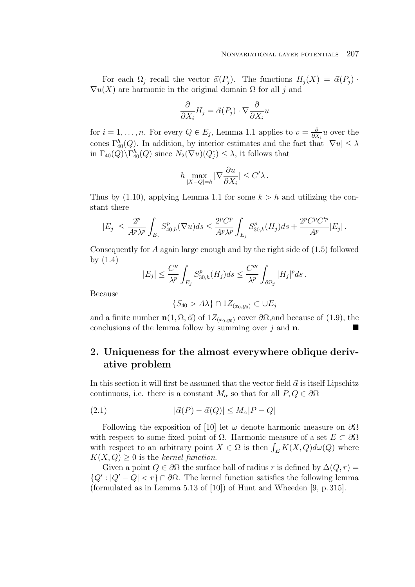For each  $\Omega_j$  recall the vector  $\vec{\alpha}(P_j)$ . The functions  $H_j(X) = \vec{\alpha}(P_j)$ .  $\nabla u(X)$  are harmonic in the original domain  $\Omega$  for all j and

$$
\frac{\partial}{\partial X_i}H_j=\vec{\alpha}(P_j)\cdot\nabla\frac{\partial}{\partial X_i}u
$$

for  $i = 1, \ldots, n$ . For every  $Q \in E_j$ , Lemma 1.1 applies to  $v = \frac{\partial}{\partial X_i} u$  over the cones  $\Gamma_{40}^{h}(Q)$ . In addition, by interior estimates and the fact that  $|\nabla u| \leq \lambda$ in  $\Gamma_{40}(Q) \backslash \Gamma_{40}^{h}(Q)$  since  $N_2(\nabla u)(Q_j^*) \leq \lambda$ , it follows that

$$
h \max_{|X-Q|=h} |\nabla \frac{\partial u}{\partial X_i}| \le C' \lambda.
$$

Thus by  $(1.10)$ , applying Lemma 1.1 for some  $k > h$  and utilizing the constant there

$$
|E_j| \le \frac{2^p}{A^p \lambda^p} \int_{E_j} S_{40,h}^p(\nabla u) ds \le \frac{2^p C^p}{A^p \lambda^p} \int_{E_j} S_{30,k}^p(H_j) ds + \frac{2^p C^p C'^p}{A^p} |E_j|.
$$

Consequently for A again large enough and by the right side of (1.5) followed by (1.4)

$$
|E_j| \le \frac{C''}{\lambda^p} \int_{E_j} S^p_{30,h}(H_j) ds \le \frac{C'''}{\lambda^p} \int_{\partial\Omega_j} |H_j|^p ds.
$$

Because

$$
\{S_{40} > A\lambda\} \cap 1Z_{(x_0,y_0)} \subset \cup E_j
$$

and a finite number  $\mathbf{n}(1, \Omega, \vec{\alpha})$  of  $1Z_{(x_0, y_0)}$  cover  $\partial\Omega$ , and because of (1.9), the conclusions of the lemma follow by summing over j and **n**.

## **2. Uniqueness for the almost everywhere oblique derivative problem**

In this section it will first be assumed that the vector field  $\vec{\alpha}$  is itself Lipschitz continuous, i.e. there is a constant  $M_{\alpha}$  so that for all  $P, Q \in \partial \Omega$ 

$$
(2.1) \qquad |\vec{\alpha}(P) - \vec{\alpha}(Q)| \le M_{\alpha}|P - Q|
$$

Following the exposition of [10] let  $\omega$  denote harmonic measure on  $\partial\Omega$ with respect to some fixed point of  $\Omega$ . Harmonic measure of a set  $E \subset \partial\Omega$ with respect to an arbitrary point  $X \in \Omega$  is then  $\int_E K(X, Q) d\omega(Q)$  where  $K(X,Q) \geq 0$  is the *kernel function*.

Given a point  $Q \in \partial\Omega$  the surface ball of radius r is defined by  $\Delta(Q, r) =$  ${Q': |Q' - Q| < r} \cap \partial\Omega$ . The kernel function satisfies the following lemma (formulated as in Lemma 5.13 of [10]) of Hunt and Wheeden [9, p. 315].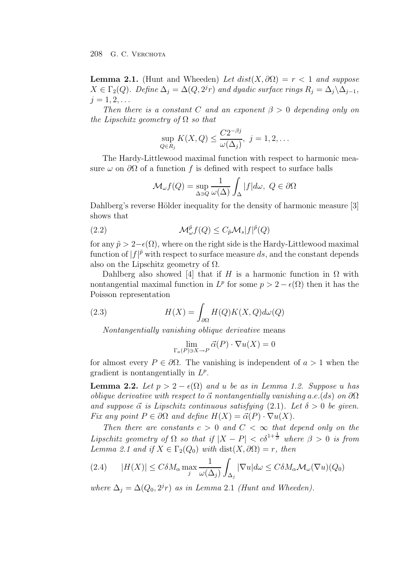208 G. C. Verchota

**Lemma 2.1.** (Hunt and Wheeden) *Let*  $dist(X, \partial \Omega) = r < 1$  *and suppose*  $X \in \Gamma_2(Q)$ *. Define*  $\Delta_i = \Delta(Q, 2^j r)$  *and dyadic surface rings*  $R_i = \Delta_i \Delta_{i-1}$ *,*  $j = 1, 2, \ldots$ 

*Then there is a constant* C *and an exponent*  $\beta > 0$  *depending only on the Lipschitz geometry of* Ω *so that*

$$
\sup_{Q \in R_j} K(X, Q) \le \frac{C2^{-\beta j}}{\omega(\Delta_j)}, \ j = 1, 2, \dots
$$

The Hardy-Littlewood maximal function with respect to harmonic measure  $\omega$  on  $\partial\Omega$  of a function f is defined with respect to surface balls

$$
\mathcal{M}_{\omega}f(Q) = \sup_{\Delta \ni Q} \frac{1}{\omega(\Delta)} \int_{\Delta} |f| d\omega, \ Q \in \partial \Omega
$$

Dahlberg's reverse Hölder inequality for the density of harmonic measure [3] shows that

(2.2) 
$$
\mathcal{M}_{\omega}^{\tilde{p}}f(Q) \leq C_{\tilde{p}}\mathcal{M}_{s}|f|^{\tilde{p}}(Q)
$$

for any  $\tilde{p} > 2-\epsilon(\Omega)$ , where on the right side is the Hardy-Littlewood maximal function of  $|f|^{\tilde{p}}$  with respect to surface measure ds, and the constant depends also on the Lipschitz geometry of  $\Omega$ .

Dahlberg also showed [4] that if H is a harmonic function in  $\Omega$  with nontangential maximal function in  $L^p$  for some  $p > 2 - \epsilon(\Omega)$  then it has the Poisson representation

(2.3) 
$$
H(X) = \int_{\partial \Omega} H(Q)K(X, Q)d\omega(Q)
$$

*Nontangentially vanishing oblique derivative* means

$$
\lim_{\Gamma_a(P)\ni X\to P} \vec{\alpha}(P) \cdot \nabla u(X) = 0
$$

for almost every  $P \in \partial \Omega$ . The vanishing is independent of  $a > 1$  when the gradient is nontangentially in  $L^p$ .

**Lemma 2.2.** *Let*  $p > 2 - \epsilon(\Omega)$  *and u be as in Lemma 1.2. Suppose u has oblique derivative with respect to*  $\vec{\alpha}$  *nontangentially vanishing* a.e.(ds) on  $\partial\Omega$ *and suppose*  $\vec{\alpha}$  *is Lipschitz continuous satisfying* (2.1)*. Let*  $\delta > 0$  *be given. Fix any point*  $P \in \partial \Omega$  *and define*  $H(X) = \vec{\alpha}(P) \cdot \nabla u(X)$ *.* 

*Then there are constants*  $c > 0$  *and*  $C < \infty$  *that depend only on the Lipschitz geometry of*  $\Omega$  *so that if*  $|X - P| < c\delta^{1+\frac{1}{\beta}}$  where  $\beta > 0$  is from *Lemma 2.1 and if*  $X \in \Gamma_2(Q_0)$  *with* dist $(X, \partial \Omega) = r$ *, then* 

(2.4) 
$$
|H(X)| \leq C\delta M_{\alpha} \max_{j} \frac{1}{\omega(\Delta_{j})} \int_{\Delta_{j}} |\nabla u| d\omega \leq C\delta M_{\alpha} \mathcal{M}_{\omega}(\nabla u)(Q_{0})
$$

*where*  $\Delta_i = \Delta(Q_0, 2^j r)$  *as in Lemma* 2.1 *(Hunt and Wheeden).*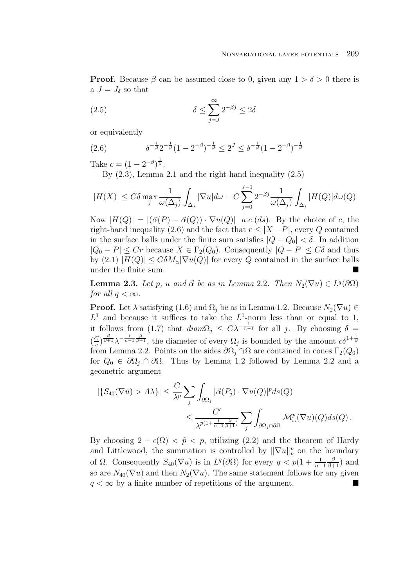**Proof.** Because  $\beta$  can be assumed close to 0, given any  $1 > \delta > 0$  there is a  $J = J_{\delta}$  so that

(2.5) 
$$
\delta \le \sum_{j=J}^{\infty} 2^{-\beta j} \le 2\delta
$$

or equivalently

(2.6) 
$$
\delta^{-\frac{1}{\beta}} 2^{-\frac{1}{\beta}} (1 - 2^{-\beta})^{-\frac{1}{\beta}} \leq 2^{J} \leq \delta^{-\frac{1}{\beta}} (1 - 2^{-\beta})^{-\frac{1}{\beta}}
$$

Take  $c = (1 - 2^{-\beta})^{\frac{1}{\beta}}$ .

By (2.3), Lemma 2.1 and the right-hand inequality (2.5)

$$
|H(X)| \leq C\delta \max_{j} \frac{1}{\omega(\Delta_j)} \int_{\Delta_j} |\nabla u| d\omega + C \sum_{j=0}^{J-1} 2^{-\beta j} \frac{1}{\omega(\Delta_j)} \int_{\Delta_j} |H(Q)| d\omega(Q)
$$

Now  $|H(Q)| = |(\vec{\alpha}(P) - \vec{\alpha}(Q)) \cdot \nabla u(Q)|$  a.e.(ds). By the choice of c, the right-hand inequality (2.6) and the fact that  $r \leq |X - P|$ , every Q contained in the surface balls under the finite sum satisfies  $|Q - Q_0| < \delta$ . In addition  $|Q_0 - P| \le Cr$  because  $X \in \Gamma_2(Q_0)$ . Consequently  $|Q - P| \le C\delta$  and thus by (2.1)  $|H(Q)| \leq C \delta M_\alpha |\nabla u(Q)|$  for every Q contained in the surface balls under the finite sum.

**Lemma 2.3.** *Let* p, u and  $\vec{\alpha}$  be as in Lemma 2.2. Then  $N_2(\nabla u) \in L^q(\partial \Omega)$ *for all*  $q < \infty$ *.* 

**Proof.** Let  $\lambda$  satisfying (1.6) and  $\Omega_j$  be as in Lemma 1.2. Because  $N_2(\nabla u) \in$  $L<sup>1</sup>$  and because it suffices to take the  $L<sup>1</sup>$ -norm less than or equal to 1, it follows from (1.7) that  $diam\Omega_j \leq C\lambda^{-\frac{1}{n-1}}$  for all j. By choosing  $\delta =$  $(\frac{C}{c})^{\frac{\beta}{\beta+1}}\lambda^{-\frac{1}{n-1}\frac{\beta}{\beta+1}},$  the diameter of every  $\Omega_j$  is bounded by the amount  $c\delta^{1+\frac{1}{\beta}}$ from Lemma 2.2. Points on the sides  $\partial\Omega_j \cap \Omega$  are contained in cones  $\Gamma_2(Q_0)$ for  $Q_0 \in \partial \Omega_i \cap \partial \Omega$ . Thus by Lemma 1.2 followed by Lemma 2.2 and a geometric argument

$$
\begin{aligned} |\{S_{40}(\nabla u) > A\lambda\}| &\leq \frac{C}{\lambda^p} \sum_j \int_{\partial\Omega_j} |\vec{\alpha}(P_j) \cdot \nabla u(Q)|^p ds(Q) \\ &\leq \frac{C'}{\lambda^{p(1 + \frac{1}{n-1}\frac{\beta}{\beta+1})}} \sum_j \int_{\partial\Omega_j \cap \partial\Omega} \mathcal{M}_\omega^p(\nabla u)(Q) ds(Q) \, . \end{aligned}
$$

By choosing  $2 - \epsilon(\Omega) < \tilde{p} < p$ , utilizing (2.2) and the theorem of Hardy and Littlewood, the summation is controlled by  $\|\nabla u\|_p^p$  on the boundary of  $\Omega$ . Consequently  $S_{40}(\nabla u)$  is in  $L^q(\partial\Omega)$  for every  $q < p(1 + \frac{1}{n-1})$  $\frac{\beta}{\beta+1}$  and so are  $N_{40}(\nabla u)$  and then  $N_2(\nabla u)$ . The same statement follows for any given  $q < \infty$  by a finite number of repetitions of the argument.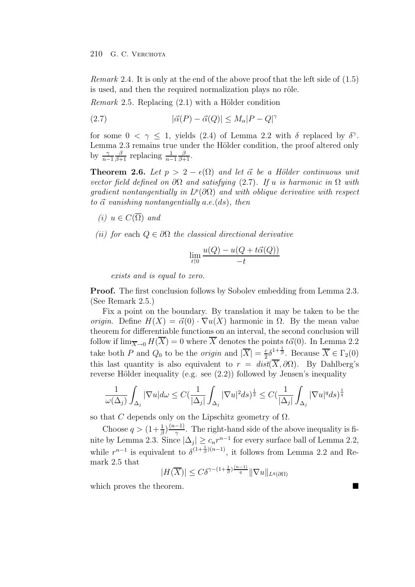*Remark* 2.4*.* It is only at the end of the above proof that the left side of (1.5) is used, and then the required normalization plays no rôle.

*Remark* 2.5. Replacing  $(2.1)$  with a Hölder condition

(2.7) 
$$
|\vec{\alpha}(P) - \vec{\alpha}(Q)| \le M_{\alpha}|P - Q|^{\gamma}
$$

for some  $0 < \gamma \leq 1$ , yields (2.4) of Lemma 2.2 with  $\delta$  replaced by  $\delta^{\gamma}$ . Lemma 2.3 remains true under the Hölder condition, the proof altered only by  $\frac{\gamma}{n-1}$  $\frac{\beta}{\beta+1}$  replacing  $\frac{1}{n-1}$  $\frac{\beta}{\beta+1}$ .

**Theorem 2.6.** *Let*  $p > 2 - \epsilon(\Omega)$  *and let*  $\vec{\alpha}$  *be a Hölder continuous unit vector field defined on*  $\partial\Omega$  *and satisfying* (2.7). If u *is harmonic in*  $\Omega$  *with gradient nontangentially in*  $L^p(\partial\Omega)$  *and with oblique derivative with respect to* α- *vanishing nontangentially* a.e.(ds)*, then*

- $(i)$  *u* ∈  $C(\overline{\Omega})$  *and*
- *(ii) for* each Q ∈ ∂Ω *the classical directional derivative*

$$
\lim_{t \uparrow 0} \frac{u(Q) - u(Q + t\vec{\alpha}(Q))}{-t}
$$

*exists and is equal to zero.*

**Proof.** The first conclusion follows by Sobolev embedding from Lemma 2.3. (See Remark 2.5.)

Fix a point on the boundary. By translation it may be taken to be the *origin*. Define  $H(X) = \vec{\alpha}(0) \cdot \nabla u(X)$  harmonic in  $\Omega$ . By the mean value theorem for differentiable functions on an interval, the second conclusion will follow if  $\lim_{\overline{X}\to 0} H(X) = 0$  where X denotes the points  $t\vec{\alpha}(0)$ . In Lemma 2.2 take both P and  $Q_0$  to be the *origin* and  $|\overline{X}| = \frac{c}{2} \delta^{1 + \frac{1}{\beta}}$ . Because  $\overline{X} \in \Gamma_2(0)$ this last quantity is also equivalent to  $r = dist(\overline{X}, \partial \Omega)$ . By Dahlberg's reverse Hölder inequality (e.g. see  $(2.2)$ ) followed by Jensen's inequality

$$
\frac{1}{\omega(\Delta_j)}\int_{\Delta_j}|\nabla u|d\omega\leq C(\frac{1}{|\Delta_j|}\int_{\Delta_j}|\nabla u|^2ds)^{\frac{1}{2}}\leq C(\frac{1}{|\Delta_j|}\int_{\Delta_j}|\nabla u|^qds)^{\frac{1}{q}}
$$

so that C depends only on the Lipschitz geometry of  $\Omega$ .

Choose  $q > (1+\frac{1}{\beta})\frac{(n-1)}{\gamma}$ . The right-hand side of the above inequality is finite by Lemma 2.3. Since  $|\Delta_j| \geq c_n r^{n-1}$  for every surface ball of Lemma 2.2, while  $r^{n-1}$  is equivalent to  $\delta^{(1+\frac{1}{\beta})(n-1)}$ , it follows from Lemma 2.2 and Remark 2.5 that

$$
|H(\overline{X})| \leq C\delta^{\gamma - (1 + \frac{1}{\beta})\frac{(n-1)}{q}} \|\nabla u\|_{L^q(\partial\Omega)}
$$

which proves the theorem.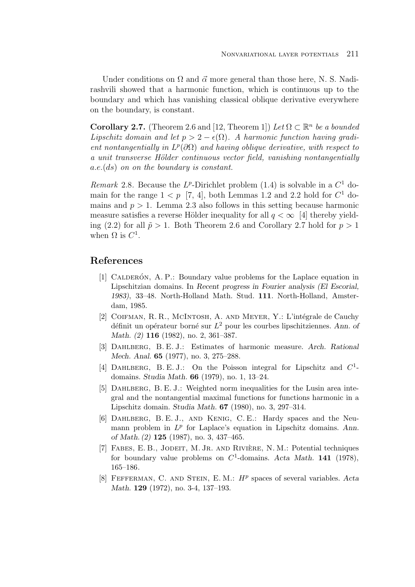Under conditions on  $\Omega$  and  $\vec{\alpha}$  more general than those here, N. S. Nadirashvili showed that a harmonic function, which is continuous up to the boundary and which has vanishing classical oblique derivative everywhere on the boundary, is constant.

**Corollary 2.7.** (Theorem 2.6 and [12, Theorem 1]) Let  $\Omega \subset \mathbb{R}^n$  be a bounded *Lipschitz domain and let*  $p > 2 - \epsilon(\Omega)$ . A harmonic function having gradi*ent nontangentially in*  $L^p(\partial\Omega)$  *and having oblique derivative, with respect to a unit transverse H¨older continuous vector field, vanishing nontangentially* a.e.(ds) *on on the boundary is constant.*

*Remark* 2.8. Because the  $L^p$ -Dirichlet problem (1.4) is solvable in a  $C^1$  domain for the range  $1 < p$  [7, 4], both Lemmas 1.2 and 2.2 hold for  $C^1$  domains and  $p > 1$ . Lemma 2.3 also follows in this setting because harmonic measure satisfies a reverse Hölder inequality for all  $q < \infty$  [4] thereby yielding (2.2) for all  $\tilde{p} > 1$ . Both Theorem 2.6 and Corollary 2.7 hold for  $p > 1$ when  $\Omega$  is  $C^1$ .

## **References**

- [1] CALDERÓN, A. P.: Boundary value problems for the Laplace equation in Lipschitzian domains. In *Recent progress in Fourier analysis (El Escorial, 1983)*, 33–48. North-Holland Math. Stud. **111**. North-Holland, Amsterdam, 1985.
- [2] COIFMAN, R. R., McINTOSH, A. AND MEYER, Y.: L'intégrale de Cauchy définit un opérateur borné sur  $L^2$  pour les courbes lipschitziennes. Ann. of *Math. (2)* **116** (1982), no. 2, 361–387.
- [3] Dahlberg, B. E. J.: Estimates of harmonic measure. *Arch. Rational Mech. Anal.* **65** (1977), no. 3, 275–288.
- [4] DAHLBERG, B. E. J.: On the Poisson integral for Lipschitz and  $C^1$ domains. *Studia Math.* **66** (1979), no. 1, 13–24.
- [5] DAHLBERG, B. E. J.: Weighted norm inequalities for the Lusin area integral and the nontangential maximal functions for functions harmonic in a Lipschitz domain. *Studia Math.* **67** (1980), no. 3, 297–314.
- [6] Dahlberg, B. E. J., and Kenig, C. E.: Hardy spaces and the Neumann problem in  $L^p$  for Laplace's equation in Lipschitz domains. Ann. *of Math. (2)* **125** (1987), no. 3, 437–465.
- [7] FABES, E. B., JODEIT, M. JR. AND RIVIÈRE, N. M.: Potential techniques for boundary value problems on  $C^1$ -domains. Acta Math. 141 (1978), 165–186.
- [8] Fefferman, C. and Stein, E. M.: H<sup>p</sup> spaces of several variables. *Acta Math.* **129** (1972), no. 3-4, 137–193.